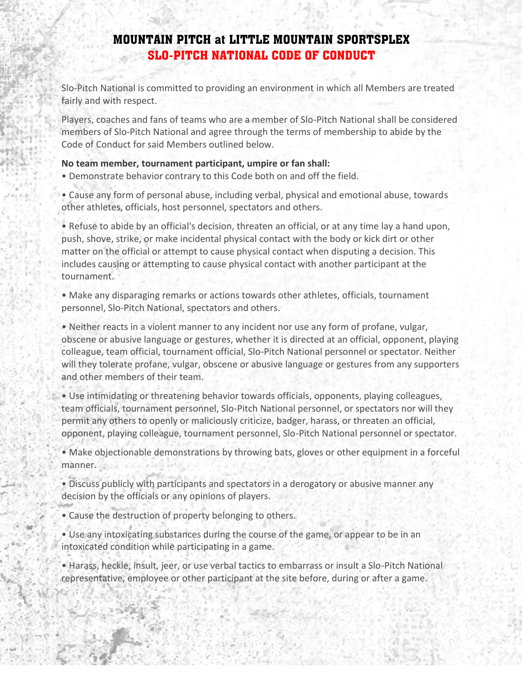## **MOUNTAIN PITCH at LITTLE MOUNTAIN SPORTSPLEX SLO-PITCH NATIONAL CODE OF CONDUCT**

Slo-Pitch National is committed to providing an environment in which all Members are treated fairly and with respect.

Players, coaches and fans of teams who are a member of Slo-Pitch National shall be considered members of Slo-Pitch National and agree through the terms of membership to abide by the Code of Conduct for said Members outlined below.

## **No team member, tournament participant, umpire or fan shall:**

- Demonstrate behavior contrary to this Code both on and off the field.
- Cause any form of personal abuse, including verbal, physical and emotional abuse, towards other athletes, officials, host personnel, spectators and others.

• Refuse to abide by an official's decision, threaten an official, or at any time lay a hand upon, push, shove, strike, or make incidental physical contact with the body or kick dirt or other matter on the official or attempt to cause physical contact when disputing a decision. This includes causing or attempting to cause physical contact with another participant at the tournament.

• Make any disparaging remarks or actions towards other athletes, officials, tournament personnel, Slo-Pitch National, spectators and others.

• Neither reacts in a violent manner to any incident nor use any form of profane, vulgar, obscene or abusive language or gestures, whether it is directed at an official, opponent, playing colleague, team official, tournament official, Slo-Pitch National personnel or spectator. Neither will they tolerate profane, vulgar, obscene or abusive language or gestures from any supporters and other members of their team.

• Use intimidating or threatening behavior towards officials, opponents, playing colleagues, team officials, tournament personnel, Slo-Pitch National personnel, or spectators nor will they permit any others to openly or maliciously criticize, badger, harass, or threaten an official, opponent, playing colleague, tournament personnel, Slo-Pitch National personnel or spectator.

• Make objectionable demonstrations by throwing bats, gloves or other equipment in a forceful manner.

• Discuss publicly with participants and spectators in a derogatory or abusive manner any decision by the officials or any opinions of players.

• Cause the destruction of property belonging to others.

• Use any intoxicating substances during the course of the game, or appear to be in an intoxicated condition while participating in a game.

• Harass, heckle, insult, jeer, or use verbal tactics to embarrass or insult a Slo-Pitch National representative, employee or other participant at the site before, during or after a game.